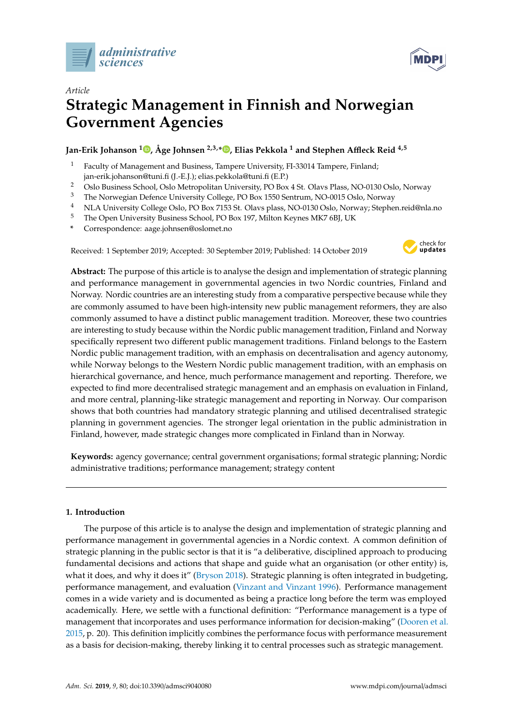



# *Article* **Strategic Management in Finnish and Norwegian Government Agencies**

# **Jan-Erik Johanson <sup>1</sup> [,](https://orcid.org/0000-0002-2120-100X) Åge Johnsen 2,3,[\\*](https://orcid.org/0000-0003-4957-6046) , Elias Pekkola <sup>1</sup> and Stephen A**ffl**eck Reid 4,5**

- <sup>1</sup> Faculty of Management and Business, Tampere University, FI-33014 Tampere, Finland; jan-erik.johanson@tuni.fi (J.-E.J.); elias.pekkola@tuni.fi (E.P.)
- 
- 2 Oslo Business School, Oslo Metropolitan University, PO Box 4 St. Olavs Plass, NO-0130 Oslo, Norway
- <sup>3</sup> The Norwegian Defence University College, PO Box 1550 Sentrum, NO-0015 Oslo, Norway
- <sup>4</sup> NLA University College Oslo, PO Box 7153 St. Olavs plass, NO-0130 Oslo, Norway; Stephen.reid@nla.no
- <sup>5</sup> The Open University Business School, PO Box 197, Milton Keynes MK7 6BJ, UK
- **\*** Correspondence: aage.johnsen@oslomet.no

Received: 1 September 2019; Accepted: 30 September 2019; Published: 14 October 2019



**Abstract:** The purpose of this article is to analyse the design and implementation of strategic planning and performance management in governmental agencies in two Nordic countries, Finland and Norway. Nordic countries are an interesting study from a comparative perspective because while they are commonly assumed to have been high-intensity new public management reformers, they are also commonly assumed to have a distinct public management tradition. Moreover, these two countries are interesting to study because within the Nordic public management tradition, Finland and Norway specifically represent two different public management traditions. Finland belongs to the Eastern Nordic public management tradition, with an emphasis on decentralisation and agency autonomy, while Norway belongs to the Western Nordic public management tradition, with an emphasis on hierarchical governance, and hence, much performance management and reporting. Therefore, we expected to find more decentralised strategic management and an emphasis on evaluation in Finland, and more central, planning-like strategic management and reporting in Norway. Our comparison shows that both countries had mandatory strategic planning and utilised decentralised strategic planning in government agencies. The stronger legal orientation in the public administration in Finland, however, made strategic changes more complicated in Finland than in Norway.

**Keywords:** agency governance; central government organisations; formal strategic planning; Nordic administrative traditions; performance management; strategy content

# **1. Introduction**

The purpose of this article is to analyse the design and implementation of strategic planning and performance management in governmental agencies in a Nordic context. A common definition of strategic planning in the public sector is that it is "a deliberative, disciplined approach to producing fundamental decisions and actions that shape and guide what an organisation (or other entity) is, what it does, and why it does it" [\(Bryson](#page-16-0) [2018\)](#page-16-0). Strategic planning is often integrated in budgeting, performance management, and evaluation [\(Vinzant and Vinzant](#page-19-0) [1996\)](#page-19-0). Performance management comes in a wide variety and is documented as being a practice long before the term was employed academically. Here, we settle with a functional definition: "Performance management is a type of management that incorporates and uses performance information for decision-making" [\(Dooren et al.](#page-16-1) [2015,](#page-16-1) p. 20). This definition implicitly combines the performance focus with performance measurement as a basis for decision-making, thereby linking it to central processes such as strategic management.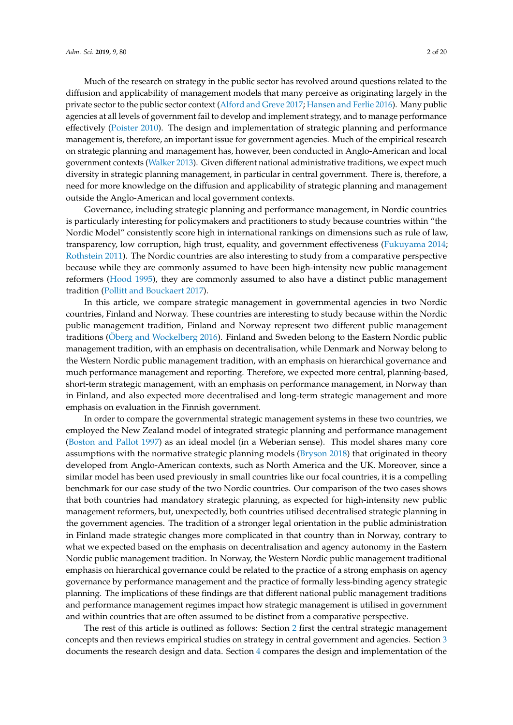Much of the research on strategy in the public sector has revolved around questions related to the diffusion and applicability of management models that many perceive as originating largely in the private sector to the public sector context [\(Alford and Greve](#page-16-2) [2017;](#page-16-2) [Hansen and Ferlie](#page-17-0) [2016\)](#page-17-0). Many public agencies at all levels of government fail to develop and implement strategy, and to manage performance effectively [\(Poister](#page-18-0) [2010\)](#page-18-0). The design and implementation of strategic planning and performance management is, therefore, an important issue for government agencies. Much of the empirical research on strategic planning and management has, however, been conducted in Anglo-American and local government contexts [\(Walker](#page-19-1) [2013\)](#page-19-1). Given different national administrative traditions, we expect much diversity in strategic planning management, in particular in central government. There is, therefore, a need for more knowledge on the diffusion and applicability of strategic planning and management outside the Anglo-American and local government contexts.

Governance, including strategic planning and performance management, in Nordic countries is particularly interesting for policymakers and practitioners to study because countries within "the Nordic Model" consistently score high in international rankings on dimensions such as rule of law, transparency, low corruption, high trust, equality, and government effectiveness [\(Fukuyama](#page-17-1) [2014;](#page-17-1) [Rothstein](#page-19-2) [2011\)](#page-19-2). The Nordic countries are also interesting to study from a comparative perspective because while they are commonly assumed to have been high-intensity new public management reformers [\(Hood](#page-17-2) [1995\)](#page-17-2), they are commonly assumed to also have a distinct public management tradition [\(Pollitt and Bouckaert](#page-18-1) [2017\)](#page-18-1).

In this article, we compare strategic management in governmental agencies in two Nordic countries, Finland and Norway. These countries are interesting to study because within the Nordic public management tradition, Finland and Norway represent two different public management traditions [\(Öberg and Wockelberg](#page-18-2) [2016\)](#page-18-2). Finland and Sweden belong to the Eastern Nordic public management tradition, with an emphasis on decentralisation, while Denmark and Norway belong to the Western Nordic public management tradition, with an emphasis on hierarchical governance and much performance management and reporting. Therefore, we expected more central, planning-based, short-term strategic management, with an emphasis on performance management, in Norway than in Finland, and also expected more decentralised and long-term strategic management and more emphasis on evaluation in the Finnish government.

In order to compare the governmental strategic management systems in these two countries, we employed the New Zealand model of integrated strategic planning and performance management [\(Boston and Pallot](#page-16-3) [1997\)](#page-16-3) as an ideal model (in a Weberian sense). This model shares many core assumptions with the normative strategic planning models [\(Bryson](#page-16-0) [2018\)](#page-16-0) that originated in theory developed from Anglo-American contexts, such as North America and the UK. Moreover, since a similar model has been used previously in small countries like our focal countries, it is a compelling benchmark for our case study of the two Nordic countries. Our comparison of the two cases shows that both countries had mandatory strategic planning, as expected for high-intensity new public management reformers, but, unexpectedly, both countries utilised decentralised strategic planning in the government agencies. The tradition of a stronger legal orientation in the public administration in Finland made strategic changes more complicated in that country than in Norway, contrary to what we expected based on the emphasis on decentralisation and agency autonomy in the Eastern Nordic public management tradition. In Norway, the Western Nordic public management traditional emphasis on hierarchical governance could be related to the practice of a strong emphasis on agency governance by performance management and the practice of formally less-binding agency strategic planning. The implications of these findings are that different national public management traditions and performance management regimes impact how strategic management is utilised in government and within countries that are often assumed to be distinct from a comparative perspective.

The rest of this article is outlined as follows: Section [2](#page-2-0) first the central strategic management concepts and then reviews empirical studies on strategy in central government and agencies. Section [3](#page-7-0) documents the research design and data. Section [4](#page-8-0) compares the design and implementation of the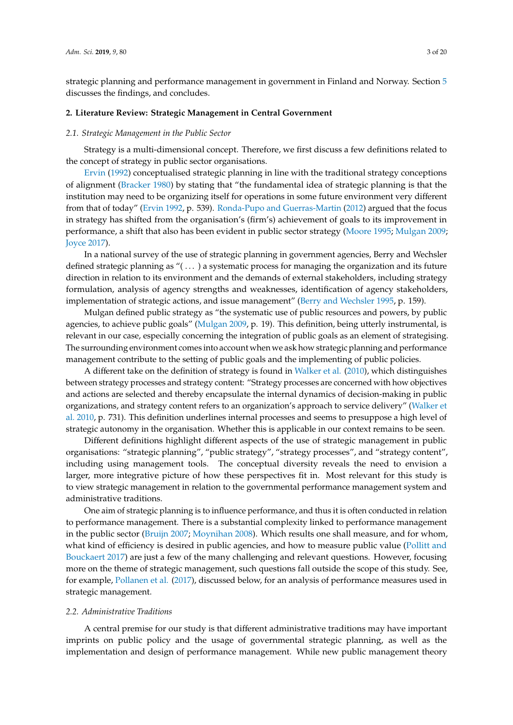strategic planning and performance management in government in Finland and Norway. Section [5](#page-15-0) discusses the findings, and concludes.

## <span id="page-2-0"></span>**2. Literature Review: Strategic Management in Central Government**

# *2.1. Strategic Management in the Public Sector*

Strategy is a multi-dimensional concept. Therefore, we first discuss a few definitions related to the concept of strategy in public sector organisations.

[Ervin](#page-16-4) [\(1992\)](#page-16-4) conceptualised strategic planning in line with the traditional strategy conceptions of alignment [\(Bracker](#page-16-5) [1980\)](#page-16-5) by stating that "the fundamental idea of strategic planning is that the institution may need to be organizing itself for operations in some future environment very different from that of today" [\(Ervin](#page-16-4) [1992,](#page-16-4) p. 539). [Ronda-Pupo and Guerras-Martin](#page-18-3) [\(2012\)](#page-18-3) argued that the focus in strategy has shifted from the organisation's (firm's) achievement of goals to its improvement in performance, a shift that also has been evident in public sector strategy [\(Moore](#page-18-4) [1995;](#page-18-4) [Mulgan](#page-18-5) [2009;](#page-18-5) [Joyce](#page-17-3) [2017\)](#page-17-3).

In a national survey of the use of strategic planning in government agencies, Berry and Wechsler defined strategic planning as "( . . . ) a systematic process for managing the organization and its future direction in relation to its environment and the demands of external stakeholders, including strategy formulation, analysis of agency strengths and weaknesses, identification of agency stakeholders, implementation of strategic actions, and issue management" [\(Berry and Wechsler](#page-16-6) [1995,](#page-16-6) p. 159).

Mulgan defined public strategy as "the systematic use of public resources and powers, by public agencies, to achieve public goals" [\(Mulgan](#page-18-5) [2009,](#page-18-5) p. 19). This definition, being utterly instrumental, is relevant in our case, especially concerning the integration of public goals as an element of strategising. The surrounding environment comes into account when we ask how strategic planning and performance management contribute to the setting of public goals and the implementing of public policies.

A different take on the definition of strategy is found in [Walker et al.](#page-19-3) [\(2010\)](#page-19-3), which distinguishes between strategy processes and strategy content: "Strategy processes are concerned with how objectives and actions are selected and thereby encapsulate the internal dynamics of decision-making in public organizations, and strategy content refers to an organization's approach to service delivery" [\(Walker et](#page-19-3) [al.](#page-19-3) [2010,](#page-19-3) p. 731). This definition underlines internal processes and seems to presuppose a high level of strategic autonomy in the organisation. Whether this is applicable in our context remains to be seen.

Different definitions highlight different aspects of the use of strategic management in public organisations: "strategic planning", "public strategy", "strategy processes", and "strategy content", including using management tools. The conceptual diversity reveals the need to envision a larger, more integrative picture of how these perspectives fit in. Most relevant for this study is to view strategic management in relation to the governmental performance management system and administrative traditions.

One aim of strategic planning is to influence performance, and thus it is often conducted in relation to performance management. There is a substantial complexity linked to performance management in the public sector [\(Bruijn](#page-16-7) [2007;](#page-16-7) [Moynihan](#page-18-6) [2008\)](#page-18-6). Which results one shall measure, and for whom, what kind of efficiency is desired in public agencies, and how to measure public value [\(Pollitt and](#page-18-1) [Bouckaert](#page-18-1) [2017\)](#page-18-1) are just a few of the many challenging and relevant questions. However, focusing more on the theme of strategic management, such questions fall outside the scope of this study. See, for example, [Pollanen et al.](#page-18-7) [\(2017\)](#page-18-7), discussed below, for an analysis of performance measures used in strategic management.

#### *2.2. Administrative Traditions*

A central premise for our study is that different administrative traditions may have important imprints on public policy and the usage of governmental strategic planning, as well as the implementation and design of performance management. While new public management theory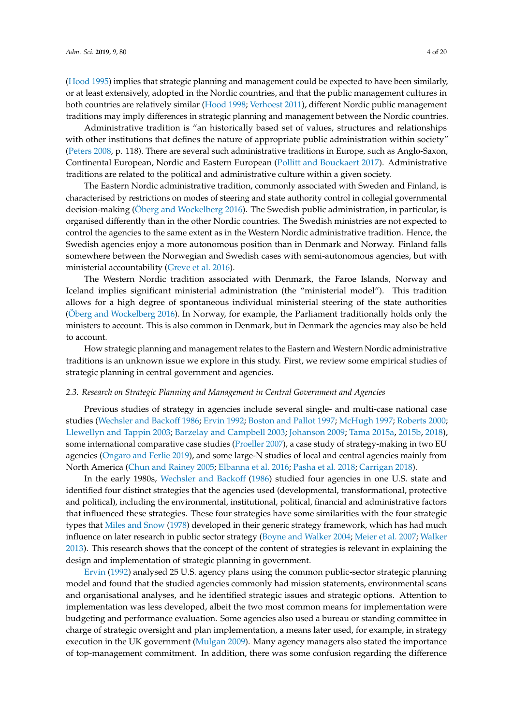[\(Hood](#page-17-2) [1995\)](#page-17-2) implies that strategic planning and management could be expected to have been similarly, or at least extensively, adopted in the Nordic countries, and that the public management cultures in both countries are relatively similar [\(Hood](#page-17-4) [1998;](#page-17-4) [Verhoest](#page-19-4) [2011\)](#page-19-4), different Nordic public management traditions may imply differences in strategic planning and management between the Nordic countries.

Administrative tradition is "an historically based set of values, structures and relationships with other institutions that defines the nature of appropriate public administration within society" [\(Peters](#page-18-8) [2008,](#page-18-8) p. 118). There are several such administrative traditions in Europe, such as Anglo-Saxon, Continental European, Nordic and Eastern European [\(Pollitt and Bouckaert](#page-18-1) [2017\)](#page-18-1). Administrative traditions are related to the political and administrative culture within a given society.

The Eastern Nordic administrative tradition, commonly associated with Sweden and Finland, is characterised by restrictions on modes of steering and state authority control in collegial governmental decision-making [\(Öberg and Wockelberg](#page-18-2) [2016\)](#page-18-2). The Swedish public administration, in particular, is organised differently than in the other Nordic countries. The Swedish ministries are not expected to control the agencies to the same extent as in the Western Nordic administrative tradition. Hence, the Swedish agencies enjoy a more autonomous position than in Denmark and Norway. Finland falls somewhere between the Norwegian and Swedish cases with semi-autonomous agencies, but with ministerial accountability [\(Greve et al.](#page-17-5) [2016\)](#page-17-5).

The Western Nordic tradition associated with Denmark, the Faroe Islands, Norway and Iceland implies significant ministerial administration (the "ministerial model"). This tradition allows for a high degree of spontaneous individual ministerial steering of the state authorities [\(Öberg and Wockelberg](#page-18-2) [2016\)](#page-18-2). In Norway, for example, the Parliament traditionally holds only the ministers to account. This is also common in Denmark, but in Denmark the agencies may also be held to account.

How strategic planning and management relates to the Eastern and Western Nordic administrative traditions is an unknown issue we explore in this study. First, we review some empirical studies of strategic planning in central government and agencies.

# *2.3. Research on Strategic Planning and Management in Central Government and Agencies*

Previous studies of strategy in agencies include several single- and multi-case national case studies [\(Wechsler and Backo](#page-19-5)ff [1986;](#page-19-5) [Ervin](#page-16-4) [1992;](#page-16-4) [Boston and Pallot](#page-16-3) [1997;](#page-16-3) [McHugh](#page-17-6) [1997;](#page-17-6) [Roberts](#page-18-9) [2000;](#page-18-9) [Llewellyn and Tappin](#page-17-7) [2003;](#page-17-7) [Barzelay and Campbell](#page-16-8) [2003;](#page-16-8) [Johanson](#page-17-8) [2009;](#page-17-8) [Tama](#page-19-6) [2015a,](#page-19-6) [2015b,](#page-19-7) [2018\)](#page-19-8), some international comparative case studies [\(Proeller](#page-18-10) [2007\)](#page-18-10), a case study of strategy-making in two EU agencies [\(Ongaro and Ferlie](#page-18-11) [2019\)](#page-18-11), and some large-N studies of local and central agencies mainly from North America [\(Chun and Rainey](#page-16-9) [2005;](#page-16-9) [Elbanna et al.](#page-16-10) [2016;](#page-16-10) [Pasha et al.](#page-18-12) [2018;](#page-18-12) [Carrigan](#page-16-11) [2018\)](#page-16-11).

In the early 1980s, [Wechsler and Backo](#page-19-5)ff [\(1986\)](#page-19-5) studied four agencies in one U.S. state and identified four distinct strategies that the agencies used (developmental, transformational, protective and political), including the environmental, institutional, political, financial and administrative factors that influenced these strategies. These four strategies have some similarities with the four strategic types that [Miles and Snow](#page-17-9) [\(1978\)](#page-17-9) developed in their generic strategy framework, which has had much influence on later research in public sector strategy [\(Boyne and Walker](#page-16-12) [2004;](#page-16-12) [Meier et al.](#page-17-10) [2007;](#page-17-10) [Walker](#page-19-1) [2013\)](#page-19-1). This research shows that the concept of the content of strategies is relevant in explaining the design and implementation of strategic planning in government.

[Ervin](#page-16-4) [\(1992\)](#page-16-4) analysed 25 U.S. agency plans using the common public-sector strategic planning model and found that the studied agencies commonly had mission statements, environmental scans and organisational analyses, and he identified strategic issues and strategic options. Attention to implementation was less developed, albeit the two most common means for implementation were budgeting and performance evaluation. Some agencies also used a bureau or standing committee in charge of strategic oversight and plan implementation, a means later used, for example, in strategy execution in the UK government [\(Mulgan](#page-18-5) [2009\)](#page-18-5). Many agency managers also stated the importance of top-management commitment. In addition, there was some confusion regarding the difference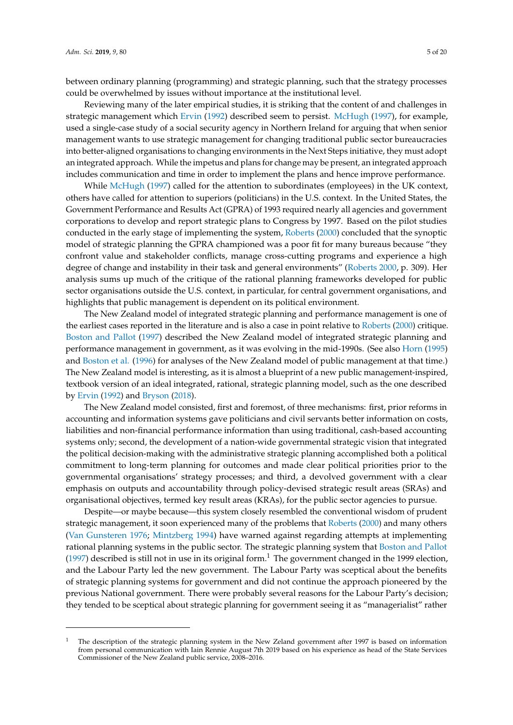between ordinary planning (programming) and strategic planning, such that the strategy processes could be overwhelmed by issues without importance at the institutional level.

Reviewing many of the later empirical studies, it is striking that the content of and challenges in strategic management which [Ervin](#page-16-4) [\(1992\)](#page-16-4) described seem to persist. [McHugh](#page-17-6) [\(1997\)](#page-17-6), for example, used a single-case study of a social security agency in Northern Ireland for arguing that when senior management wants to use strategic management for changing traditional public sector bureaucracies into better-aligned organisations to changing environments in the Next Steps initiative, they must adopt an integrated approach. While the impetus and plans for change may be present, an integrated approach includes communication and time in order to implement the plans and hence improve performance.

While [McHugh](#page-17-6) [\(1997\)](#page-17-6) called for the attention to subordinates (employees) in the UK context, others have called for attention to superiors (politicians) in the U.S. context. In the United States, the Government Performance and Results Act (GPRA) of 1993 required nearly all agencies and government corporations to develop and report strategic plans to Congress by 1997. Based on the pilot studies conducted in the early stage of implementing the system, [Roberts](#page-18-9) [\(2000\)](#page-18-9) concluded that the synoptic model of strategic planning the GPRA championed was a poor fit for many bureaus because "they confront value and stakeholder conflicts, manage cross-cutting programs and experience a high degree of change and instability in their task and general environments" [\(Roberts](#page-18-9) [2000,](#page-18-9) p. 309). Her analysis sums up much of the critique of the rational planning frameworks developed for public sector organisations outside the U.S. context, in particular, for central government organisations, and highlights that public management is dependent on its political environment.

The New Zealand model of integrated strategic planning and performance management is one of the earliest cases reported in the literature and is also a case in point relative to [Roberts](#page-18-9) [\(2000\)](#page-18-9) critique. [Boston and Pallot](#page-16-3) [\(1997\)](#page-16-3) described the New Zealand model of integrated strategic planning and performance management in government, as it was evolving in the mid-1990s. (See also [Horn](#page-17-11) [\(1995\)](#page-17-11) and [Boston et al.](#page-16-13) [\(1996\)](#page-16-13) for analyses of the New Zealand model of public management at that time.) The New Zealand model is interesting, as it is almost a blueprint of a new public management-inspired, textbook version of an ideal integrated, rational, strategic planning model, such as the one described by [Ervin](#page-16-4) [\(1992\)](#page-16-4) and [Bryson](#page-16-0) [\(2018\)](#page-16-0).

The New Zealand model consisted, first and foremost, of three mechanisms: first, prior reforms in accounting and information systems gave politicians and civil servants better information on costs, liabilities and non-financial performance information than using traditional, cash-based accounting systems only; second, the development of a nation-wide governmental strategic vision that integrated the political decision-making with the administrative strategic planning accomplished both a political commitment to long-term planning for outcomes and made clear political priorities prior to the governmental organisations' strategy processes; and third, a devolved government with a clear emphasis on outputs and accountability through policy-devised strategic result areas (SRAs) and organisational objectives, termed key result areas (KRAs), for the public sector agencies to pursue.

Despite—or maybe because—this system closely resembled the conventional wisdom of prudent strategic management, it soon experienced many of the problems that [Roberts](#page-18-9) [\(2000\)](#page-18-9) and many others [\(Van Gunsteren](#page-17-12) [1976;](#page-17-12) [Mintzberg](#page-18-13) [1994\)](#page-18-13) have warned against regarding attempts at implementing rational planning systems in the public sector. The strategic planning system that [Boston and Pallot](#page-16-3) [\(1997\)](#page-16-3) described is still not in use in its original form.<sup>1</sup> The government changed in the 1999 election, and the Labour Party led the new government. The Labour Party was sceptical about the benefits of strategic planning systems for government and did not continue the approach pioneered by the previous National government. There were probably several reasons for the Labour Party's decision; they tended to be sceptical about strategic planning for government seeing it as "managerialist" rather

<sup>1</sup> The description of the strategic planning system in the New Zeland government after 1997 is based on information from personal communication with Iain Rennie August 7th 2019 based on his experience as head of the State Services Commissioner of the New Zealand public service, 2008–2016.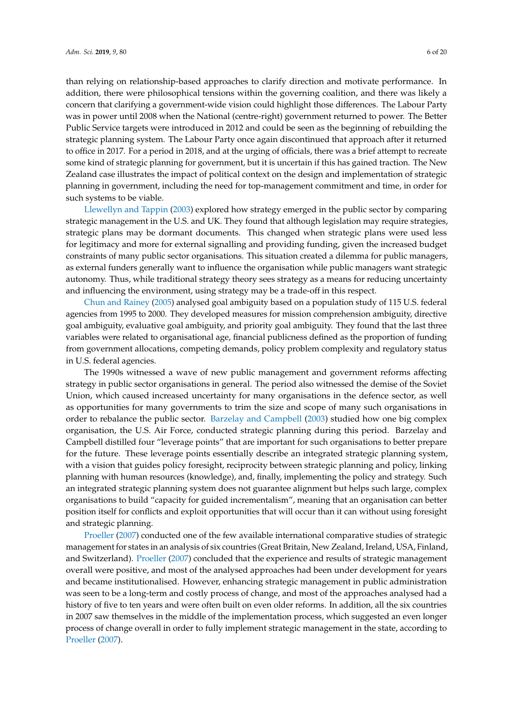than relying on relationship-based approaches to clarify direction and motivate performance. In addition, there were philosophical tensions within the governing coalition, and there was likely a concern that clarifying a government-wide vision could highlight those differences. The Labour Party was in power until 2008 when the National (centre-right) government returned to power. The Better Public Service targets were introduced in 2012 and could be seen as the beginning of rebuilding the strategic planning system. The Labour Party once again discontinued that approach after it returned to office in 2017. For a period in 2018, and at the urging of officials, there was a brief attempt to recreate some kind of strategic planning for government, but it is uncertain if this has gained traction. The New Zealand case illustrates the impact of political context on the design and implementation of strategic planning in government, including the need for top-management commitment and time, in order for such systems to be viable.

[Llewellyn and Tappin](#page-17-7) [\(2003\)](#page-17-7) explored how strategy emerged in the public sector by comparing strategic management in the U.S. and UK. They found that although legislation may require strategies, strategic plans may be dormant documents. This changed when strategic plans were used less for legitimacy and more for external signalling and providing funding, given the increased budget constraints of many public sector organisations. This situation created a dilemma for public managers, as external funders generally want to influence the organisation while public managers want strategic autonomy. Thus, while traditional strategy theory sees strategy as a means for reducing uncertainty and influencing the environment, using strategy may be a trade-off in this respect.

[Chun and Rainey](#page-16-9) [\(2005\)](#page-16-9) analysed goal ambiguity based on a population study of 115 U.S. federal agencies from 1995 to 2000. They developed measures for mission comprehension ambiguity, directive goal ambiguity, evaluative goal ambiguity, and priority goal ambiguity. They found that the last three variables were related to organisational age, financial publicness defined as the proportion of funding from government allocations, competing demands, policy problem complexity and regulatory status in U.S. federal agencies.

The 1990s witnessed a wave of new public management and government reforms affecting strategy in public sector organisations in general. The period also witnessed the demise of the Soviet Union, which caused increased uncertainty for many organisations in the defence sector, as well as opportunities for many governments to trim the size and scope of many such organisations in order to rebalance the public sector. [Barzelay and Campbell](#page-16-8) [\(2003\)](#page-16-8) studied how one big complex organisation, the U.S. Air Force, conducted strategic planning during this period. Barzelay and Campbell distilled four "leverage points" that are important for such organisations to better prepare for the future. These leverage points essentially describe an integrated strategic planning system, with a vision that guides policy foresight, reciprocity between strategic planning and policy, linking planning with human resources (knowledge), and, finally, implementing the policy and strategy. Such an integrated strategic planning system does not guarantee alignment but helps such large, complex organisations to build "capacity for guided incrementalism", meaning that an organisation can better position itself for conflicts and exploit opportunities that will occur than it can without using foresight and strategic planning.

[Proeller](#page-18-10) [\(2007\)](#page-18-10) conducted one of the few available international comparative studies of strategic management for states in an analysis of six countries (Great Britain, New Zealand, Ireland, USA, Finland, and Switzerland). [Proeller](#page-18-10) [\(2007\)](#page-18-10) concluded that the experience and results of strategic management overall were positive, and most of the analysed approaches had been under development for years and became institutionalised. However, enhancing strategic management in public administration was seen to be a long-term and costly process of change, and most of the approaches analysed had a history of five to ten years and were often built on even older reforms. In addition, all the six countries in 2007 saw themselves in the middle of the implementation process, which suggested an even longer process of change overall in order to fully implement strategic management in the state, according to [Proeller](#page-18-10) [\(2007\)](#page-18-10).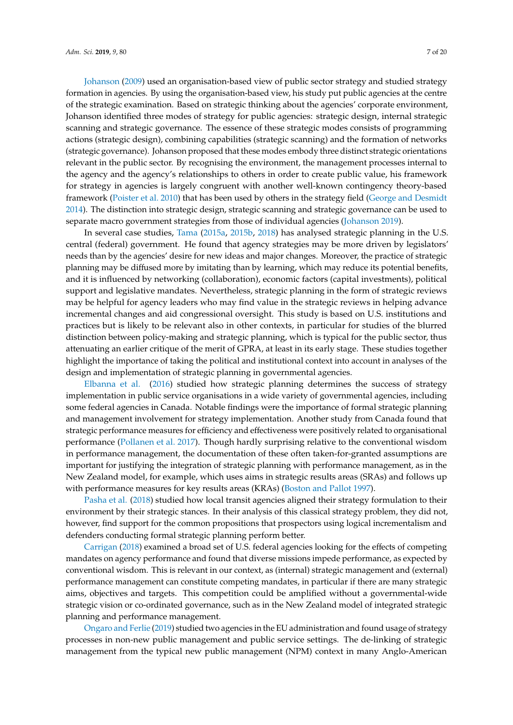[Johanson](#page-17-8) [\(2009\)](#page-17-8) used an organisation-based view of public sector strategy and studied strategy formation in agencies. By using the organisation-based view, his study put public agencies at the centre of the strategic examination. Based on strategic thinking about the agencies' corporate environment, Johanson identified three modes of strategy for public agencies: strategic design, internal strategic scanning and strategic governance. The essence of these strategic modes consists of programming actions (strategic design), combining capabilities (strategic scanning) and the formation of networks (strategic governance). Johanson proposed that these modes embody three distinct strategic orientations relevant in the public sector. By recognising the environment, the management processes internal to the agency and the agency's relationships to others in order to create public value, his framework for strategy in agencies is largely congruent with another well-known contingency theory-based framework [\(Poister et al.](#page-18-14) [2010\)](#page-18-14) that has been used by others in the strategy field [\(George and Desmidt](#page-17-13) [2014\)](#page-17-13). The distinction into strategic design, strategic scanning and strategic governance can be used to separate macro government strategies from those of individual agencies [\(Johanson](#page-17-14) [2019\)](#page-17-14).

In several case studies, [Tama](#page-19-6) [\(2015a,](#page-19-6) [2015b,](#page-19-7) [2018\)](#page-19-8) has analysed strategic planning in the U.S. central (federal) government. He found that agency strategies may be more driven by legislators' needs than by the agencies' desire for new ideas and major changes. Moreover, the practice of strategic planning may be diffused more by imitating than by learning, which may reduce its potential benefits, and it is influenced by networking (collaboration), economic factors (capital investments), political support and legislative mandates. Nevertheless, strategic planning in the form of strategic reviews may be helpful for agency leaders who may find value in the strategic reviews in helping advance incremental changes and aid congressional oversight. This study is based on U.S. institutions and practices but is likely to be relevant also in other contexts, in particular for studies of the blurred distinction between policy-making and strategic planning, which is typical for the public sector, thus attenuating an earlier critique of the merit of GPRA, at least in its early stage. These studies together highlight the importance of taking the political and institutional context into account in analyses of the design and implementation of strategic planning in governmental agencies.

[Elbanna et al.](#page-16-10) [\(2016\)](#page-16-10) studied how strategic planning determines the success of strategy implementation in public service organisations in a wide variety of governmental agencies, including some federal agencies in Canada. Notable findings were the importance of formal strategic planning and management involvement for strategy implementation. Another study from Canada found that strategic performance measures for efficiency and effectiveness were positively related to organisational performance [\(Pollanen et al.](#page-18-7) [2017\)](#page-18-7). Though hardly surprising relative to the conventional wisdom in performance management, the documentation of these often taken-for-granted assumptions are important for justifying the integration of strategic planning with performance management, as in the New Zealand model, for example, which uses aims in strategic results areas (SRAs) and follows up with performance measures for key results areas (KRAs) [\(Boston and Pallot](#page-16-3) [1997\)](#page-16-3).

[Pasha et al.](#page-18-12) [\(2018\)](#page-18-12) studied how local transit agencies aligned their strategy formulation to their environment by their strategic stances. In their analysis of this classical strategy problem, they did not, however, find support for the common propositions that prospectors using logical incrementalism and defenders conducting formal strategic planning perform better.

[Carrigan](#page-16-11) [\(2018\)](#page-16-11) examined a broad set of U.S. federal agencies looking for the effects of competing mandates on agency performance and found that diverse missions impede performance, as expected by conventional wisdom. This is relevant in our context, as (internal) strategic management and (external) performance management can constitute competing mandates, in particular if there are many strategic aims, objectives and targets. This competition could be amplified without a governmental-wide strategic vision or co-ordinated governance, such as in the New Zealand model of integrated strategic planning and performance management.

[Ongaro and Ferlie](#page-18-11) [\(2019\)](#page-18-11) studied two agencies in the EU administration and found usage of strategy processes in non-new public management and public service settings. The de-linking of strategic management from the typical new public management (NPM) context in many Anglo-American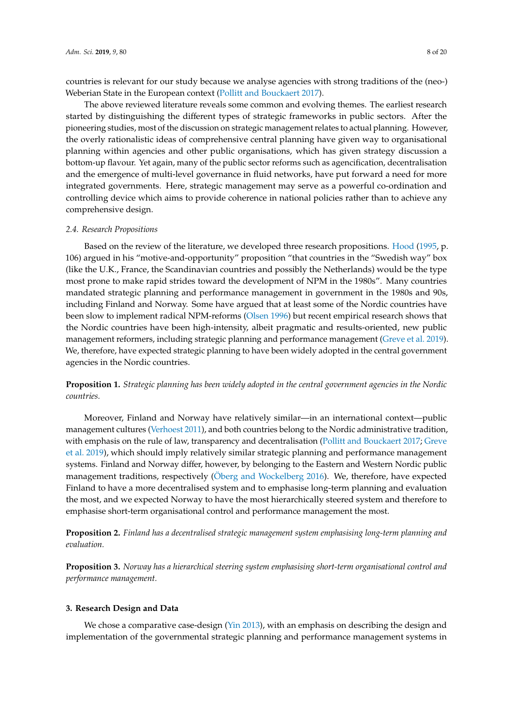countries is relevant for our study because we analyse agencies with strong traditions of the (neo-) Weberian State in the European context [\(Pollitt and Bouckaert](#page-18-1) [2017\)](#page-18-1).

The above reviewed literature reveals some common and evolving themes. The earliest research started by distinguishing the different types of strategic frameworks in public sectors. After the pioneering studies, most of the discussion on strategic management relates to actual planning. However, the overly rationalistic ideas of comprehensive central planning have given way to organisational planning within agencies and other public organisations, which has given strategy discussion a bottom-up flavour. Yet again, many of the public sector reforms such as agencification, decentralisation and the emergence of multi-level governance in fluid networks, have put forward a need for more integrated governments. Here, strategic management may serve as a powerful co-ordination and controlling device which aims to provide coherence in national policies rather than to achieve any comprehensive design.

#### *2.4. Research Propositions*

Based on the review of the literature, we developed three research propositions. [Hood](#page-17-2) [\(1995,](#page-17-2) p. 106) argued in his "motive-and-opportunity" proposition "that countries in the "Swedish way" box (like the U.K., France, the Scandinavian countries and possibly the Netherlands) would be the type most prone to make rapid strides toward the development of NPM in the 1980s". Many countries mandated strategic planning and performance management in government in the 1980s and 90s, including Finland and Norway. Some have argued that at least some of the Nordic countries have been slow to implement radical NPM-reforms [\(Olsen](#page-18-15) [1996\)](#page-18-15) but recent empirical research shows that the Nordic countries have been high-intensity, albeit pragmatic and results-oriented, new public management reformers, including strategic planning and performance management [\(Greve et al.](#page-17-15) [2019\)](#page-17-15). We, therefore, have expected strategic planning to have been widely adopted in the central government agencies in the Nordic countries.

**Proposition 1.** *Strategic planning has been widely adopted in the central government agencies in the Nordic countries.*

Moreover, Finland and Norway have relatively similar—in an international context—public management cultures [\(Verhoest](#page-19-4) [2011\)](#page-19-4), and both countries belong to the Nordic administrative tradition, with emphasis on the rule of law, transparency and decentralisation [\(Pollitt and Bouckaert](#page-18-1) [2017;](#page-18-1) [Greve](#page-17-15) [et al.](#page-17-15) [2019\)](#page-17-15), which should imply relatively similar strategic planning and performance management systems. Finland and Norway differ, however, by belonging to the Eastern and Western Nordic public management traditions, respectively [\(Öberg and Wockelberg](#page-18-2) [2016\)](#page-18-2). We, therefore, have expected Finland to have a more decentralised system and to emphasise long-term planning and evaluation the most, and we expected Norway to have the most hierarchically steered system and therefore to emphasise short-term organisational control and performance management the most.

**Proposition 2.** *Finland has a decentralised strategic management system emphasising long-term planning and evaluation.*

**Proposition 3.** *Norway has a hierarchical steering system emphasising short-term organisational control and performance management.*

# <span id="page-7-0"></span>**3. Research Design and Data**

We chose a comparative case-design [\(Yin](#page-19-9) [2013\)](#page-19-9), with an emphasis on describing the design and implementation of the governmental strategic planning and performance management systems in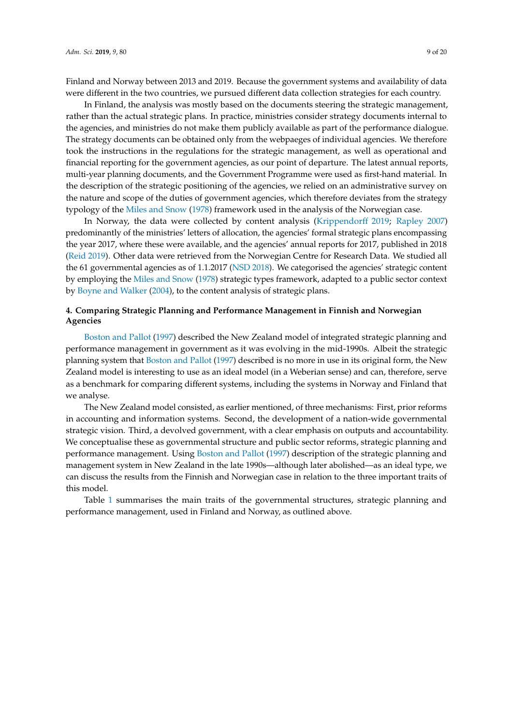Finland and Norway between 2013 and 2019. Because the government systems and availability of data were different in the two countries, we pursued different data collection strategies for each country.

In Finland, the analysis was mostly based on the documents steering the strategic management, rather than the actual strategic plans. In practice, ministries consider strategy documents internal to the agencies, and ministries do not make them publicly available as part of the performance dialogue. The strategy documents can be obtained only from the webpaeges of individual agencies. We therefore took the instructions in the regulations for the strategic management, as well as operational and financial reporting for the government agencies, as our point of departure. The latest annual reports, multi-year planning documents, and the Government Programme were used as first-hand material. In the description of the strategic positioning of the agencies, we relied on an administrative survey on the nature and scope of the duties of government agencies, which therefore deviates from the strategy typology of the [Miles and Snow](#page-17-9) [\(1978\)](#page-17-9) framework used in the analysis of the Norwegian case.

In Norway, the data were collected by content analysis [\(Krippendor](#page-17-16)ff [2019;](#page-17-16) [Rapley](#page-18-16) [2007\)](#page-18-16) predominantly of the ministries' letters of allocation, the agencies' formal strategic plans encompassing the year 2017, where these were available, and the agencies' annual reports for 2017, published in 2018 [\(Reid](#page-18-17) [2019\)](#page-18-17). Other data were retrieved from the Norwegian Centre for Research Data. We studied all the 61 governmental agencies as of 1.1.2017 [\(NSD](#page-18-18) [2018\)](#page-18-18). We categorised the agencies' strategic content by employing the [Miles and Snow](#page-17-9) [\(1978\)](#page-17-9) strategic types framework, adapted to a public sector context by [Boyne and Walker](#page-16-12) [\(2004\)](#page-16-12), to the content analysis of strategic plans.

# <span id="page-8-0"></span>**4. Comparing Strategic Planning and Performance Management in Finnish and Norwegian Agencies**

[Boston and Pallot](#page-16-3) [\(1997\)](#page-16-3) described the New Zealand model of integrated strategic planning and performance management in government as it was evolving in the mid-1990s. Albeit the strategic planning system that [Boston and Pallot](#page-16-3) [\(1997\)](#page-16-3) described is no more in use in its original form, the New Zealand model is interesting to use as an ideal model (in a Weberian sense) and can, therefore, serve as a benchmark for comparing different systems, including the systems in Norway and Finland that we analyse.

The New Zealand model consisted, as earlier mentioned, of three mechanisms: First, prior reforms in accounting and information systems. Second, the development of a nation-wide governmental strategic vision. Third, a devolved government, with a clear emphasis on outputs and accountability. We conceptualise these as governmental structure and public sector reforms, strategic planning and performance management. Using [Boston and Pallot](#page-16-3) [\(1997\)](#page-16-3) description of the strategic planning and management system in New Zealand in the late 1990s—although later abolished—as an ideal type, we can discuss the results from the Finnish and Norwegian case in relation to the three important traits of this model.

Table [1](#page-9-0) summarises the main traits of the governmental structures, strategic planning and performance management, used in Finland and Norway, as outlined above.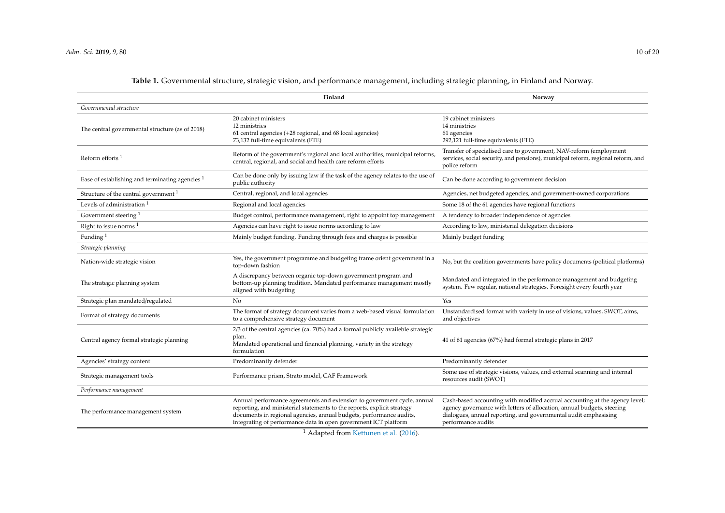<span id="page-9-0"></span>

|                                                   | Finland                                                                                                                                                                                                                                                                                      | Norway                                                                                                                                                                                                                                         |
|---------------------------------------------------|----------------------------------------------------------------------------------------------------------------------------------------------------------------------------------------------------------------------------------------------------------------------------------------------|------------------------------------------------------------------------------------------------------------------------------------------------------------------------------------------------------------------------------------------------|
| Governmental structure                            |                                                                                                                                                                                                                                                                                              |                                                                                                                                                                                                                                                |
| The central governmental structure (as of 2018)   | 20 cabinet ministers<br>12 ministries<br>61 central agencies (+28 regional, and 68 local agencies)<br>73,132 full-time equivalents (FTE)                                                                                                                                                     | 19 cabinet ministers<br>14 ministries<br>61 agencies<br>292,121 full-time equivalents (FTE)                                                                                                                                                    |
| Reform efforts <sup>1</sup>                       | Reform of the government's regional and local authorities, municipal reforms,<br>central, regional, and social and health care reform efforts                                                                                                                                                | Transfer of specialised care to government, NAV-reform (employment<br>services, social security, and pensions), municipal reform, regional reform, and<br>police reform                                                                        |
| Ease of establishing and terminating agencies $1$ | Can be done only by issuing law if the task of the agency relates to the use of<br>public authority                                                                                                                                                                                          | Can be done according to government decision                                                                                                                                                                                                   |
| Structure of the central government $1$           | Central, regional, and local agencies                                                                                                                                                                                                                                                        | Agencies, net budgeted agencies, and government-owned corporations                                                                                                                                                                             |
| Levels of administration <sup>1</sup>             | Regional and local agencies                                                                                                                                                                                                                                                                  | Some 18 of the 61 agencies have regional functions                                                                                                                                                                                             |
| Government steering $1$                           | Budget control, performance management, right to appoint top management                                                                                                                                                                                                                      | A tendency to broader independence of agencies                                                                                                                                                                                                 |
| Right to issue norms <sup>1</sup>                 | Agencies can have right to issue norms according to law                                                                                                                                                                                                                                      | According to law, ministerial delegation decisions                                                                                                                                                                                             |
| Funding $1$                                       | Mainly budget funding. Funding through fees and charges is possible                                                                                                                                                                                                                          | Mainly budget funding                                                                                                                                                                                                                          |
| Strategic planning                                |                                                                                                                                                                                                                                                                                              |                                                                                                                                                                                                                                                |
| Nation-wide strategic vision                      | Yes, the government programme and budgeting frame orient government in a<br>top-down fashion                                                                                                                                                                                                 | No, but the coalition governments have policy documents (political platforms)                                                                                                                                                                  |
| The strategic planning system                     | A discrepancy between organic top-down government program and<br>bottom-up planning tradition. Mandated performance management mostly<br>aligned with budgeting                                                                                                                              | Mandated and integrated in the performance management and budgeting<br>system. Few regular, national strategies. Foresight every fourth year                                                                                                   |
| Strategic plan mandated/regulated                 | N <sub>0</sub>                                                                                                                                                                                                                                                                               | <b>Yes</b>                                                                                                                                                                                                                                     |
| Format of strategy documents                      | The format of strategy document varies from a web-based visual formulation<br>to a comprehensive strategy document                                                                                                                                                                           | Unstandardised format with variety in use of visions, values, SWOT, aims,<br>and objectives                                                                                                                                                    |
| Central agency formal strategic planning          | 2/3 of the central agencies (ca. 70%) had a formal publicly availeble strategic<br>plan.<br>Mandated operational and financial planning, variety in the strategy<br>formulation                                                                                                              | 41 of 61 agencies (67%) had formal strategic plans in 2017                                                                                                                                                                                     |
| Agencies' strategy content                        | Predominantly defender                                                                                                                                                                                                                                                                       | Predominantly defender                                                                                                                                                                                                                         |
| Strategic management tools                        | Performance prism, Strato model, CAF Framework                                                                                                                                                                                                                                               | Some use of strategic visions, values, and external scanning and internal<br>resources audit (SWOT)                                                                                                                                            |
| Performance management                            |                                                                                                                                                                                                                                                                                              |                                                                                                                                                                                                                                                |
| The performance management system                 | Annual performance agreements and extension to government cycle, annual<br>reporting, and ministerial statements to the reports, explicit strategy<br>documents in regional agencies, annual budgets, performance audits,<br>integrating of performance data in open government ICT platform | Cash-based accounting with modified accrual accounting at the agency level;<br>agency governance with letters of allocation, annual budgets, steering<br>dialogues, annual reporting, and governmental audit emphasising<br>performance audits |

**Table 1.** Governmental structure, strategic vision, and performance management, including strategic planning, in Finland and Norway.

<sup>1</sup> Adapted from [Kettunen et al.](#page-17-17) [\(2016\)](#page-17-17).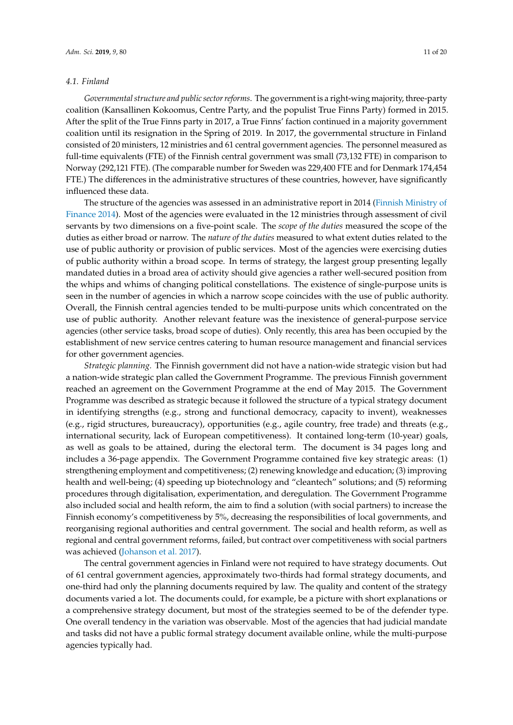#### *4.1. Finland*

*Governmental structure and public sector reforms*. The government is a right-wing majority, three-party coalition (Kansallinen Kokoomus, Centre Party, and the populist True Finns Party) formed in 2015. After the split of the True Finns party in 2017, a True Finns' faction continued in a majority government coalition until its resignation in the Spring of 2019. In 2017, the governmental structure in Finland consisted of 20 ministers, 12 ministries and 61 central government agencies. The personnel measured as full-time equivalents (FTE) of the Finnish central government was small (73,132 FTE) in comparison to Norway (292,121 FTE). (The comparable number for Sweden was 229,400 FTE and for Denmark 174,454 FTE.) The differences in the administrative structures of these countries, however, have significantly influenced these data.

The structure of the agencies was assessed in an administrative report in 2014 [\(Finnish Ministry of](#page-17-18) [Finance](#page-17-18) [2014\)](#page-17-18). Most of the agencies were evaluated in the 12 ministries through assessment of civil servants by two dimensions on a five-point scale. The *scope of the duties* measured the scope of the duties as either broad or narrow. The *nature of the duties* measured to what extent duties related to the use of public authority or provision of public services. Most of the agencies were exercising duties of public authority within a broad scope. In terms of strategy, the largest group presenting legally mandated duties in a broad area of activity should give agencies a rather well-secured position from the whips and whims of changing political constellations. The existence of single-purpose units is seen in the number of agencies in which a narrow scope coincides with the use of public authority. Overall, the Finnish central agencies tended to be multi-purpose units which concentrated on the use of public authority. Another relevant feature was the inexistence of general-purpose service agencies (other service tasks, broad scope of duties). Only recently, this area has been occupied by the establishment of new service centres catering to human resource management and financial services for other government agencies.

*Strategic planning.* The Finnish government did not have a nation-wide strategic vision but had a nation-wide strategic plan called the Government Programme. The previous Finnish government reached an agreement on the Government Programme at the end of May 2015. The Government Programme was described as strategic because it followed the structure of a typical strategy document in identifying strengths (e.g., strong and functional democracy, capacity to invent), weaknesses (e.g., rigid structures, bureaucracy), opportunities (e.g., agile country, free trade) and threats (e.g., international security, lack of European competitiveness). It contained long-term (10-year) goals, as well as goals to be attained, during the electoral term. The document is 34 pages long and includes a 36-page appendix. The Government Programme contained five key strategic areas: (1) strengthening employment and competitiveness; (2) renewing knowledge and education; (3) improving health and well-being; (4) speeding up biotechnology and "cleantech" solutions; and (5) reforming procedures through digitalisation, experimentation, and deregulation. The Government Programme also included social and health reform, the aim to find a solution (with social partners) to increase the Finnish economy's competitiveness by 5%, decreasing the responsibilities of local governments, and reorganising regional authorities and central government. The social and health reform, as well as regional and central government reforms, failed, but contract over competitiveness with social partners was achieved [\(Johanson et al.](#page-17-19) [2017\)](#page-17-19).

The central government agencies in Finland were not required to have strategy documents. Out of 61 central government agencies, approximately two-thirds had formal strategy documents, and one-third had only the planning documents required by law. The quality and content of the strategy documents varied a lot. The documents could, for example, be a picture with short explanations or a comprehensive strategy document, but most of the strategies seemed to be of the defender type. One overall tendency in the variation was observable. Most of the agencies that had judicial mandate and tasks did not have a public formal strategy document available online, while the multi-purpose agencies typically had.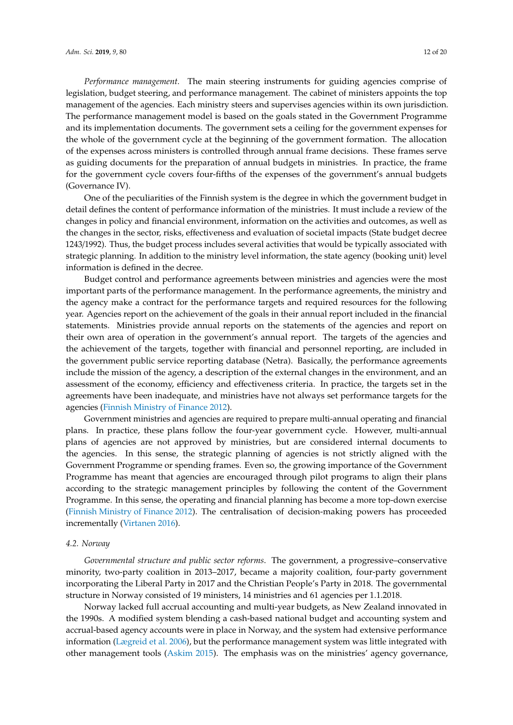*Performance management.* The main steering instruments for guiding agencies comprise of legislation, budget steering, and performance management. The cabinet of ministers appoints the top management of the agencies. Each ministry steers and supervises agencies within its own jurisdiction. The performance management model is based on the goals stated in the Government Programme and its implementation documents. The government sets a ceiling for the government expenses for the whole of the government cycle at the beginning of the government formation. The allocation of the expenses across ministers is controlled through annual frame decisions. These frames serve as guiding documents for the preparation of annual budgets in ministries. In practice, the frame for the government cycle covers four-fifths of the expenses of the government's annual budgets (Governance IV).

One of the peculiarities of the Finnish system is the degree in which the government budget in detail defines the content of performance information of the ministries. It must include a review of the changes in policy and financial environment, information on the activities and outcomes, as well as the changes in the sector, risks, effectiveness and evaluation of societal impacts (State budget decree 1243/1992). Thus, the budget process includes several activities that would be typically associated with strategic planning. In addition to the ministry level information, the state agency (booking unit) level information is defined in the decree.

Budget control and performance agreements between ministries and agencies were the most important parts of the performance management. In the performance agreements, the ministry and the agency make a contract for the performance targets and required resources for the following year. Agencies report on the achievement of the goals in their annual report included in the financial statements. Ministries provide annual reports on the statements of the agencies and report on their own area of operation in the government's annual report. The targets of the agencies and the achievement of the targets, together with financial and personnel reporting, are included in the government public service reporting database (Netra). Basically, the performance agreements include the mission of the agency, a description of the external changes in the environment, and an assessment of the economy, efficiency and effectiveness criteria. In practice, the targets set in the agreements have been inadequate, and ministries have not always set performance targets for the agencies [\(Finnish Ministry of Finance](#page-17-20) [2012\)](#page-17-20).

Government ministries and agencies are required to prepare multi-annual operating and financial plans. In practice, these plans follow the four-year government cycle. However, multi-annual plans of agencies are not approved by ministries, but are considered internal documents to the agencies. In this sense, the strategic planning of agencies is not strictly aligned with the Government Programme or spending frames. Even so, the growing importance of the Government Programme has meant that agencies are encouraged through pilot programs to align their plans according to the strategic management principles by following the content of the Government Programme. In this sense, the operating and financial planning has become a more top-down exercise [\(Finnish Ministry of Finance](#page-17-20) [2012\)](#page-17-20). The centralisation of decision-making powers has proceeded incrementally [\(Virtanen](#page-19-10) [2016\)](#page-19-10).

#### *4.2. Norway*

*Governmental structure and public sector reforms*. The government, a progressive–conservative minority, two-party coalition in 2013–2017, became a majority coalition, four-party government incorporating the Liberal Party in 2017 and the Christian People's Party in 2018. The governmental structure in Norway consisted of 19 ministers, 14 ministries and 61 agencies per 1.1.2018.

Norway lacked full accrual accounting and multi-year budgets, as New Zealand innovated in the 1990s. A modified system blending a cash-based national budget and accounting system and accrual-based agency accounts were in place in Norway, and the system had extensive performance information [\(Lægreid et al.](#page-17-21) [2006\)](#page-17-21), but the performance management system was little integrated with other management tools [\(Askim](#page-16-14) [2015\)](#page-16-14). The emphasis was on the ministries' agency governance,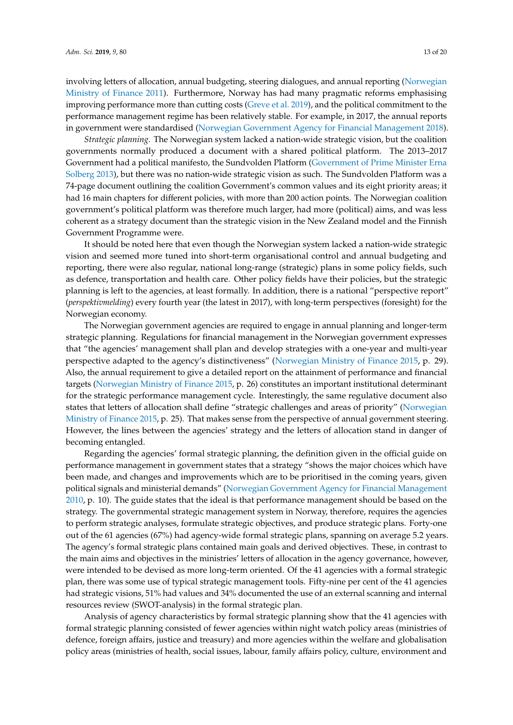involving letters of allocation, annual budgeting, steering dialogues, and annual reporting [\(Norwegian](#page-18-19) [Ministry of Finance](#page-18-19) [2011\)](#page-18-19). Furthermore, Norway has had many pragmatic reforms emphasising improving performance more than cutting costs [\(Greve et al.](#page-17-15) [2019\)](#page-17-15), and the political commitment to the performance management regime has been relatively stable. For example, in 2017, the annual reports in government were standardised [\(Norwegian Government Agency for Financial Management](#page-18-20) [2018\)](#page-18-20).

*Strategic planning.* The Norwegian system lacked a nation-wide strategic vision, but the coalition governments normally produced a document with a shared political platform. The 2013–2017 Government had a political manifesto, the Sundvolden Platform [\(Government of Prime Minister Erna](#page-17-22) [Solberg](#page-17-22) [2013\)](#page-17-22), but there was no nation-wide strategic vision as such. The Sundvolden Platform was a 74-page document outlining the coalition Government's common values and its eight priority areas; it had 16 main chapters for different policies, with more than 200 action points. The Norwegian coalition government's political platform was therefore much larger, had more (political) aims, and was less coherent as a strategy document than the strategic vision in the New Zealand model and the Finnish Government Programme were.

It should be noted here that even though the Norwegian system lacked a nation-wide strategic vision and seemed more tuned into short-term organisational control and annual budgeting and reporting, there were also regular, national long-range (strategic) plans in some policy fields, such as defence, transportation and health care. Other policy fields have their policies, but the strategic planning is left to the agencies, at least formally. In addition, there is a national "perspective report" (*perspektivmelding*) every fourth year (the latest in 2017), with long-term perspectives (foresight) for the Norwegian economy.

The Norwegian government agencies are required to engage in annual planning and longer-term strategic planning. Regulations for financial management in the Norwegian government expresses that "the agencies' management shall plan and develop strategies with a one-year and multi-year perspective adapted to the agency's distinctiveness" [\(Norwegian Ministry of Finance](#page-18-21) [2015,](#page-18-21) p. 29). Also, the annual requirement to give a detailed report on the attainment of performance and financial targets [\(Norwegian Ministry of Finance](#page-18-21) [2015,](#page-18-21) p. 26) constitutes an important institutional determinant for the strategic performance management cycle. Interestingly, the same regulative document also states that letters of allocation shall define "strategic challenges and areas of priority" [\(Norwegian](#page-18-21) [Ministry of Finance](#page-18-21) [2015,](#page-18-21) p. 25). That makes sense from the perspective of annual government steering. However, the lines between the agencies' strategy and the letters of allocation stand in danger of becoming entangled.

Regarding the agencies' formal strategic planning, the definition given in the official guide on performance management in government states that a strategy "shows the major choices which have been made, and changes and improvements which are to be prioritised in the coming years, given political signals and ministerial demands" [\(Norwegian Government Agency for Financial Management](#page-18-22) [2010,](#page-18-22) p. 10). The guide states that the ideal is that performance management should be based on the strategy. The governmental strategic management system in Norway, therefore, requires the agencies to perform strategic analyses, formulate strategic objectives, and produce strategic plans. Forty-one out of the 61 agencies (67%) had agency-wide formal strategic plans, spanning on average 5.2 years. The agency's formal strategic plans contained main goals and derived objectives. These, in contrast to the main aims and objectives in the ministries' letters of allocation in the agency governance, however, were intended to be devised as more long-term oriented. Of the 41 agencies with a formal strategic plan, there was some use of typical strategic management tools. Fifty-nine per cent of the 41 agencies had strategic visions, 51% had values and 34% documented the use of an external scanning and internal resources review (SWOT-analysis) in the formal strategic plan.

Analysis of agency characteristics by formal strategic planning show that the 41 agencies with formal strategic planning consisted of fewer agencies within night watch policy areas (ministries of defence, foreign affairs, justice and treasury) and more agencies within the welfare and globalisation policy areas (ministries of health, social issues, labour, family affairs policy, culture, environment and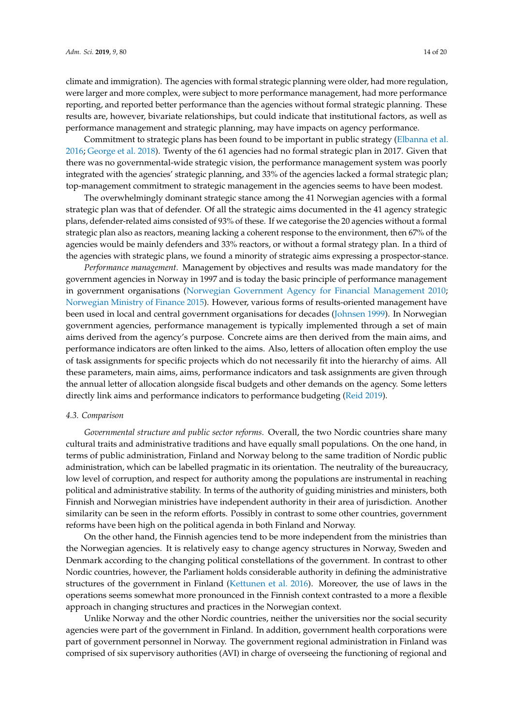climate and immigration). The agencies with formal strategic planning were older, had more regulation, were larger and more complex, were subject to more performance management, had more performance reporting, and reported better performance than the agencies without formal strategic planning. These results are, however, bivariate relationships, but could indicate that institutional factors, as well as performance management and strategic planning, may have impacts on agency performance.

Commitment to strategic plans has been found to be important in public strategy [\(Elbanna et al.](#page-16-10) [2016;](#page-16-10) [George et al.](#page-17-23) [2018\)](#page-17-23). Twenty of the 61 agencies had no formal strategic plan in 2017. Given that there was no governmental-wide strategic vision, the performance management system was poorly integrated with the agencies' strategic planning, and 33% of the agencies lacked a formal strategic plan; top-management commitment to strategic management in the agencies seems to have been modest.

The overwhelmingly dominant strategic stance among the 41 Norwegian agencies with a formal strategic plan was that of defender. Of all the strategic aims documented in the 41 agency strategic plans, defender-related aims consisted of 93% of these. If we categorise the 20 agencies without a formal strategic plan also as reactors, meaning lacking a coherent response to the environment, then 67% of the agencies would be mainly defenders and 33% reactors, or without a formal strategy plan. In a third of the agencies with strategic plans, we found a minority of strategic aims expressing a prospector-stance.

*Performance management.* Management by objectives and results was made mandatory for the government agencies in Norway in 1997 and is today the basic principle of performance management in government organisations [\(Norwegian Government Agency for Financial Management](#page-18-22) [2010;](#page-18-22) [Norwegian Ministry of Finance](#page-18-21) [2015\)](#page-18-21). However, various forms of results-oriented management have been used in local and central government organisations for decades [\(Johnsen](#page-17-24) [1999\)](#page-17-24). In Norwegian government agencies, performance management is typically implemented through a set of main aims derived from the agency's purpose. Concrete aims are then derived from the main aims, and performance indicators are often linked to the aims. Also, letters of allocation often employ the use of task assignments for specific projects which do not necessarily fit into the hierarchy of aims. All these parameters, main aims, aims, performance indicators and task assignments are given through the annual letter of allocation alongside fiscal budgets and other demands on the agency. Some letters directly link aims and performance indicators to performance budgeting [\(Reid](#page-18-17) [2019\)](#page-18-17).

#### *4.3. Comparison*

*Governmental structure and public sector reforms.* Overall, the two Nordic countries share many cultural traits and administrative traditions and have equally small populations. On the one hand, in terms of public administration, Finland and Norway belong to the same tradition of Nordic public administration, which can be labelled pragmatic in its orientation. The neutrality of the bureaucracy, low level of corruption, and respect for authority among the populations are instrumental in reaching political and administrative stability. In terms of the authority of guiding ministries and ministers, both Finnish and Norwegian ministries have independent authority in their area of jurisdiction. Another similarity can be seen in the reform efforts. Possibly in contrast to some other countries, government reforms have been high on the political agenda in both Finland and Norway.

On the other hand, the Finnish agencies tend to be more independent from the ministries than the Norwegian agencies. It is relatively easy to change agency structures in Norway, Sweden and Denmark according to the changing political constellations of the government. In contrast to other Nordic countries, however, the Parliament holds considerable authority in defining the administrative structures of the government in Finland [\(Kettunen et al.](#page-17-25) [2016\)](#page-17-25). Moreover, the use of laws in the operations seems somewhat more pronounced in the Finnish context contrasted to a more a flexible approach in changing structures and practices in the Norwegian context.

Unlike Norway and the other Nordic countries, neither the universities nor the social security agencies were part of the government in Finland. In addition, government health corporations were part of government personnel in Norway. The government regional administration in Finland was comprised of six supervisory authorities (AVI) in charge of overseeing the functioning of regional and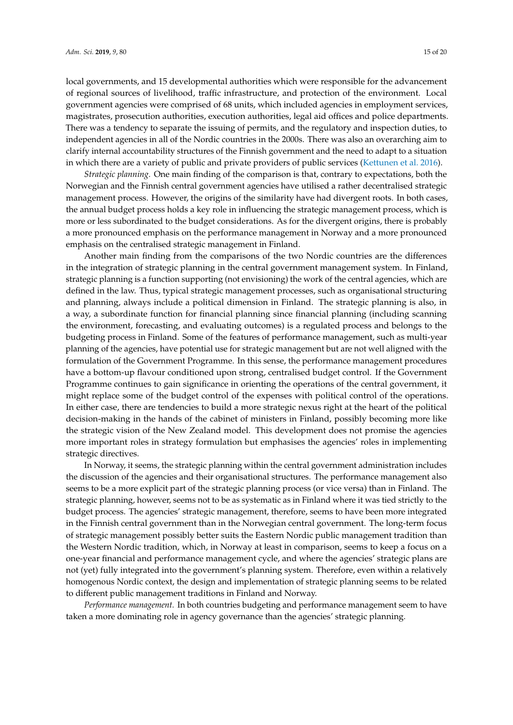local governments, and 15 developmental authorities which were responsible for the advancement of regional sources of livelihood, traffic infrastructure, and protection of the environment. Local government agencies were comprised of 68 units, which included agencies in employment services, magistrates, prosecution authorities, execution authorities, legal aid offices and police departments. There was a tendency to separate the issuing of permits, and the regulatory and inspection duties, to independent agencies in all of the Nordic countries in the 2000s. There was also an overarching aim to clarify internal accountability structures of the Finnish government and the need to adapt to a situation in which there are a variety of public and private providers of public services [\(Kettunen et al.](#page-17-25) [2016\)](#page-17-25).

*Strategic planning.* One main finding of the comparison is that, contrary to expectations, both the Norwegian and the Finnish central government agencies have utilised a rather decentralised strategic management process. However, the origins of the similarity have had divergent roots. In both cases, the annual budget process holds a key role in influencing the strategic management process, which is more or less subordinated to the budget considerations. As for the divergent origins, there is probably a more pronounced emphasis on the performance management in Norway and a more pronounced emphasis on the centralised strategic management in Finland.

Another main finding from the comparisons of the two Nordic countries are the differences in the integration of strategic planning in the central government management system. In Finland, strategic planning is a function supporting (not envisioning) the work of the central agencies, which are defined in the law. Thus, typical strategic management processes, such as organisational structuring and planning, always include a political dimension in Finland. The strategic planning is also, in a way, a subordinate function for financial planning since financial planning (including scanning the environment, forecasting, and evaluating outcomes) is a regulated process and belongs to the budgeting process in Finland. Some of the features of performance management, such as multi-year planning of the agencies, have potential use for strategic management but are not well aligned with the formulation of the Government Programme. In this sense, the performance management procedures have a bottom-up flavour conditioned upon strong, centralised budget control. If the Government Programme continues to gain significance in orienting the operations of the central government, it might replace some of the budget control of the expenses with political control of the operations. In either case, there are tendencies to build a more strategic nexus right at the heart of the political decision-making in the hands of the cabinet of ministers in Finland, possibly becoming more like the strategic vision of the New Zealand model. This development does not promise the agencies more important roles in strategy formulation but emphasises the agencies' roles in implementing strategic directives.

In Norway, it seems, the strategic planning within the central government administration includes the discussion of the agencies and their organisational structures. The performance management also seems to be a more explicit part of the strategic planning process (or vice versa) than in Finland. The strategic planning, however, seems not to be as systematic as in Finland where it was tied strictly to the budget process. The agencies' strategic management, therefore, seems to have been more integrated in the Finnish central government than in the Norwegian central government. The long-term focus of strategic management possibly better suits the Eastern Nordic public management tradition than the Western Nordic tradition, which, in Norway at least in comparison, seems to keep a focus on a one-year financial and performance management cycle, and where the agencies' strategic plans are not (yet) fully integrated into the government's planning system. Therefore, even within a relatively homogenous Nordic context, the design and implementation of strategic planning seems to be related to different public management traditions in Finland and Norway.

*Performance management.* In both countries budgeting and performance management seem to have taken a more dominating role in agency governance than the agencies' strategic planning.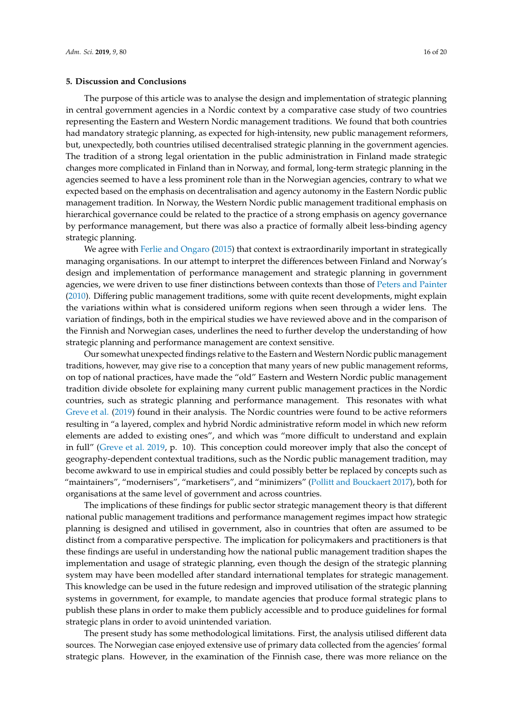#### <span id="page-15-0"></span>**5. Discussion and Conclusions**

The purpose of this article was to analyse the design and implementation of strategic planning in central government agencies in a Nordic context by a comparative case study of two countries representing the Eastern and Western Nordic management traditions. We found that both countries had mandatory strategic planning, as expected for high-intensity, new public management reformers, but, unexpectedly, both countries utilised decentralised strategic planning in the government agencies. The tradition of a strong legal orientation in the public administration in Finland made strategic changes more complicated in Finland than in Norway, and formal, long-term strategic planning in the agencies seemed to have a less prominent role than in the Norwegian agencies, contrary to what we expected based on the emphasis on decentralisation and agency autonomy in the Eastern Nordic public management tradition. In Norway, the Western Nordic public management traditional emphasis on hierarchical governance could be related to the practice of a strong emphasis on agency governance by performance management, but there was also a practice of formally albeit less-binding agency strategic planning.

We agree with [Ferlie and Ongaro](#page-16-15) [\(2015\)](#page-16-15) that context is extraordinarily important in strategically managing organisations. In our attempt to interpret the differences between Finland and Norway's design and implementation of performance management and strategic planning in government agencies, we were driven to use finer distinctions between contexts than those of [Peters and Painter](#page-18-23) [\(2010\)](#page-18-23). Differing public management traditions, some with quite recent developments, might explain the variations within what is considered uniform regions when seen through a wider lens. The variation of findings, both in the empirical studies we have reviewed above and in the comparison of the Finnish and Norwegian cases, underlines the need to further develop the understanding of how strategic planning and performance management are context sensitive.

Our somewhat unexpected findings relative to the Eastern and Western Nordic public management traditions, however, may give rise to a conception that many years of new public management reforms, on top of national practices, have made the "old" Eastern and Western Nordic public management tradition divide obsolete for explaining many current public management practices in the Nordic countries, such as strategic planning and performance management. This resonates with what [Greve et al.](#page-17-15) [\(2019\)](#page-17-15) found in their analysis. The Nordic countries were found to be active reformers resulting in "a layered, complex and hybrid Nordic administrative reform model in which new reform elements are added to existing ones", and which was "more difficult to understand and explain in full" [\(Greve et al.](#page-17-15) [2019,](#page-17-15) p. 10). This conception could moreover imply that also the concept of geography-dependent contextual traditions, such as the Nordic public management tradition, may become awkward to use in empirical studies and could possibly better be replaced by concepts such as "maintainers", "modernisers", "marketisers", and "minimizers" [\(Pollitt and Bouckaert](#page-18-1) [2017\)](#page-18-1), both for organisations at the same level of government and across countries.

The implications of these findings for public sector strategic management theory is that different national public management traditions and performance management regimes impact how strategic planning is designed and utilised in government, also in countries that often are assumed to be distinct from a comparative perspective. The implication for policymakers and practitioners is that these findings are useful in understanding how the national public management tradition shapes the implementation and usage of strategic planning, even though the design of the strategic planning system may have been modelled after standard international templates for strategic management. This knowledge can be used in the future redesign and improved utilisation of the strategic planning systems in government, for example, to mandate agencies that produce formal strategic plans to publish these plans in order to make them publicly accessible and to produce guidelines for formal strategic plans in order to avoid unintended variation.

The present study has some methodological limitations. First, the analysis utilised different data sources. The Norwegian case enjoyed extensive use of primary data collected from the agencies' formal strategic plans. However, in the examination of the Finnish case, there was more reliance on the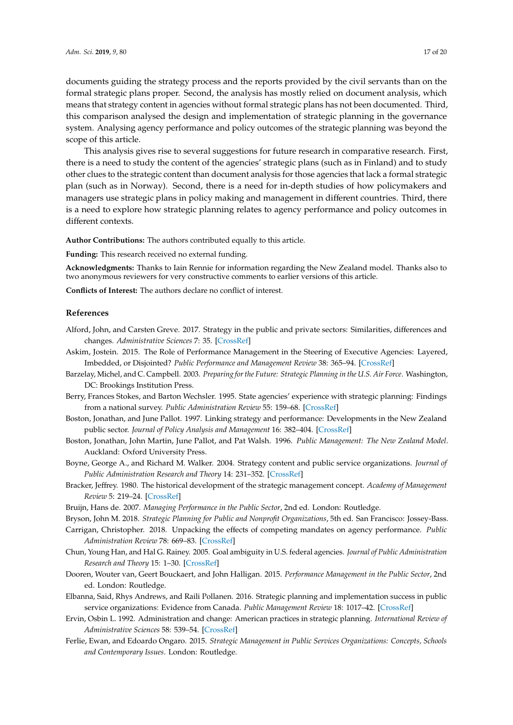documents guiding the strategy process and the reports provided by the civil servants than on the formal strategic plans proper. Second, the analysis has mostly relied on document analysis, which means that strategy content in agencies without formal strategic plans has not been documented. Third, this comparison analysed the design and implementation of strategic planning in the governance system. Analysing agency performance and policy outcomes of the strategic planning was beyond the scope of this article.

This analysis gives rise to several suggestions for future research in comparative research. First, there is a need to study the content of the agencies' strategic plans (such as in Finland) and to study other clues to the strategic content than document analysis for those agencies that lack a formal strategic plan (such as in Norway). Second, there is a need for in-depth studies of how policymakers and managers use strategic plans in policy making and management in different countries. Third, there is a need to explore how strategic planning relates to agency performance and policy outcomes in different contexts.

**Author Contributions:** The authors contributed equally to this article.

**Funding:** This research received no external funding.

**Acknowledgments:** Thanks to Iain Rennie for information regarding the New Zealand model. Thanks also to two anonymous reviewers for very constructive comments to earlier versions of this article.

**Conflicts of Interest:** The authors declare no conflict of interest.

#### **References**

- <span id="page-16-2"></span>Alford, John, and Carsten Greve. 2017. Strategy in the public and private sectors: Similarities, differences and changes. *Administrative Sciences* 7: 35. [\[CrossRef\]](http://dx.doi.org/10.3390/admsci7040035)
- <span id="page-16-14"></span>Askim, Jostein. 2015. The Role of Performance Management in the Steering of Executive Agencies: Layered, Imbedded, or Disjointed? *Public Performance and Management Review* 38: 365–94. [\[CrossRef\]](http://dx.doi.org/10.1080/15309576.2015.1006463)
- <span id="page-16-8"></span>Barzelay, Michel, and C. Campbell. 2003. *Preparing for the Future: Strategic Planning in the U.S. Air Force*. Washington, DC: Brookings Institution Press.
- <span id="page-16-6"></span>Berry, Frances Stokes, and Barton Wechsler. 1995. State agencies' experience with strategic planning: Findings from a national survey. *Public Administration Review* 55: 159–68. [\[CrossRef\]](http://dx.doi.org/10.2307/977181)
- <span id="page-16-3"></span>Boston, Jonathan, and June Pallot. 1997. Linking strategy and performance: Developments in the New Zealand public sector. *Journal of Policy Analysis and Management* 16: 382–404. [\[CrossRef\]](http://dx.doi.org/10.1002/1520-6688(199722)16:3<382::AID-PAM18>3.0.CO;2-S)
- <span id="page-16-13"></span>Boston, Jonathan, John Martin, June Pallot, and Pat Walsh. 1996. *Public Management: The New Zealand Model*. Auckland: Oxford University Press.
- <span id="page-16-12"></span>Boyne, George A., and Richard M. Walker. 2004. Strategy content and public service organizations. *Journal of Public Administration Research and Theory* 14: 231–352. [\[CrossRef\]](http://dx.doi.org/10.1093/jopart/muh015)
- <span id="page-16-5"></span>Bracker, Jeffrey. 1980. The historical development of the strategic management concept. *Academy of Management Review* 5: 219–24. [\[CrossRef\]](http://dx.doi.org/10.5465/amr.1980.4288731)
- <span id="page-16-7"></span>Bruijn, Hans de. 2007. *Managing Performance in the Public Sector*, 2nd ed. London: Routledge.
- <span id="page-16-0"></span>Bryson, John M. 2018. *Strategic Planning for Public and Nonprofit Organizations*, 5th ed. San Francisco: Jossey-Bass.
- <span id="page-16-11"></span>Carrigan, Christopher. 2018. Unpacking the effects of competing mandates on agency performance. *Public Administration Review* 78: 669–83. [\[CrossRef\]](http://dx.doi.org/10.1111/puar.12912)
- <span id="page-16-9"></span>Chun, Young Han, and Hal G. Rainey. 2005. Goal ambiguity in U.S. federal agencies. *Journal of Public Administration Research and Theory* 15: 1–30. [\[CrossRef\]](http://dx.doi.org/10.1093/jopart/mui001)
- <span id="page-16-1"></span>Dooren, Wouter van, Geert Bouckaert, and John Halligan. 2015. *Performance Management in the Public Sector*, 2nd ed. London: Routledge.
- <span id="page-16-10"></span>Elbanna, Said, Rhys Andrews, and Raili Pollanen. 2016. Strategic planning and implementation success in public service organizations: Evidence from Canada. *Public Management Review* 18: 1017–42. [\[CrossRef\]](http://dx.doi.org/10.1080/14719037.2015.1051576)
- <span id="page-16-4"></span>Ervin, Osbin L. 1992. Administration and change: American practices in strategic planning. *International Review of Administrative Sciences* 58: 539–54. [\[CrossRef\]](http://dx.doi.org/10.1177/002085239205800404)
- <span id="page-16-15"></span>Ferlie, Ewan, and Edoardo Ongaro. 2015. *Strategic Management in Public Services Organizations: Concepts, Schools and Contemporary Issues*. London: Routledge.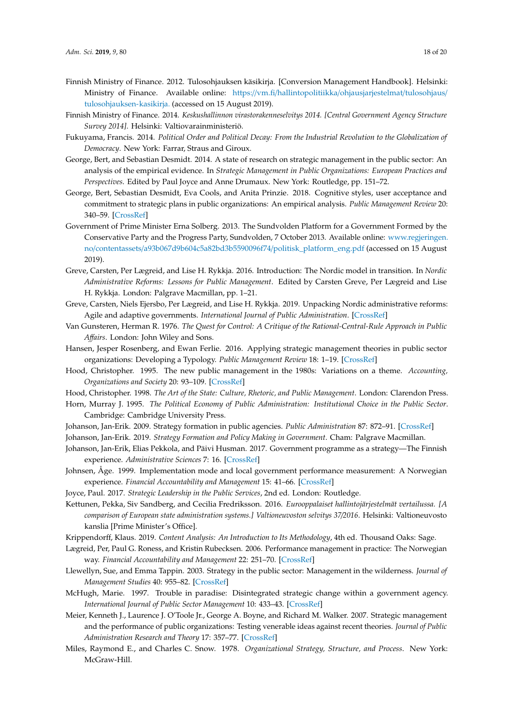- <span id="page-17-20"></span>Finnish Ministry of Finance. 2012. Tulosohjauksen käsikirja. [Conversion Management Handbook]. Helsinki: Ministry of Finance. Available online: https://vm.fi/hallintopolitiikka/[ohjausjarjestelmat](https://vm.fi/hallintopolitiikka/ohjausjarjestelmat/tulosohjaus/tulosohjauksen-kasikirja.)/tulosohjaus/ [tulosohjauksen-kasikirja.](https://vm.fi/hallintopolitiikka/ohjausjarjestelmat/tulosohjaus/tulosohjauksen-kasikirja.) (accessed on 15 August 2019).
- <span id="page-17-18"></span>Finnish Ministry of Finance. 2014. *Keskushallinnon virastorakenneselvitys 2014. [Central Government Agency Structure Survey 2014]*. Helsinki: Valtiovarainministeriö.
- <span id="page-17-1"></span>Fukuyama, Francis. 2014. *Political Order and Political Decay: From the Industrial Revolution to the Globalization of Democracy*. New York: Farrar, Straus and Giroux.
- <span id="page-17-13"></span>George, Bert, and Sebastian Desmidt. 2014. A state of research on strategic management in the public sector: An analysis of the empirical evidence. In *Strategic Management in Public Organizations: European Practices and Perspectives*. Edited by Paul Joyce and Anne Drumaux. New York: Routledge, pp. 151–72.
- <span id="page-17-23"></span>George, Bert, Sebastian Desmidt, Eva Cools, and Anita Prinzie. 2018. Cognitive styles, user acceptance and commitment to strategic plans in public organizations: An empirical analysis. *Public Management Review* 20: 340–59. [\[CrossRef\]](http://dx.doi.org/10.1080/14719037.2017.1285112)
- <span id="page-17-22"></span>Government of Prime Minister Erna Solberg. 2013. The Sundvolden Platform for a Government Formed by the Conservative Party and the Progress Party, Sundvolden, 7 October 2013. Available online: [www.regjeringen.](www.regjeringen.no/contentassets/a93b067d9b604c5a82bd3b5590096f74/politisk_platform_eng.pdf) no/contentassets/[a93b067d9b604c5a82bd3b5590096f74](www.regjeringen.no/contentassets/a93b067d9b604c5a82bd3b5590096f74/politisk_platform_eng.pdf)/politisk\_platform\_eng.pdf (accessed on 15 August 2019).
- <span id="page-17-5"></span>Greve, Carsten, Per Lægreid, and Lise H. Rykkja. 2016. Introduction: The Nordic model in transition. In *Nordic Administrative Reforms: Lessons for Public Management*. Edited by Carsten Greve, Per Lægreid and Lise H. Rykkja. London: Palgrave Macmillan, pp. 1–21.
- <span id="page-17-17"></span><span id="page-17-15"></span>Greve, Carsten, Niels Ejersbo, Per Lægreid, and Lise H. Rykkja. 2019. Unpacking Nordic administrative reforms: Agile and adaptive governments. *International Journal of Public Administration*. [\[CrossRef\]](http://dx.doi.org/10.1080/01900692.2019.1645688)
- <span id="page-17-12"></span>Van Gunsteren, Herman R. 1976. *The Quest for Control: A Critique of the Rational-Central-Rule Approach in Public A*ff*airs*. London: John Wiley and Sons.
- <span id="page-17-0"></span>Hansen, Jesper Rosenberg, and Ewan Ferlie. 2016. Applying strategic management theories in public sector organizations: Developing a Typology. *Public Management Review* 18: 1–19. [\[CrossRef\]](http://dx.doi.org/10.1080/14719037.2014.957339)
- <span id="page-17-2"></span>Hood, Christopher. 1995. The new public management in the 1980s: Variations on a theme. *Accounting, Organizations and Society* 20: 93–109. [\[CrossRef\]](http://dx.doi.org/10.1016/0361-3682(93)E0001-W)
- <span id="page-17-11"></span><span id="page-17-4"></span>Hood, Christopher. 1998. *The Art of the State: Culture, Rhetoric, and Public Management*. London: Clarendon Press.
- Horn, Murray J. 1995. *The Political Economy of Public Administration: Institutional Choice in the Public Sector*. Cambridge: Cambridge University Press.
- <span id="page-17-8"></span>Johanson, Jan-Erik. 2009. Strategy formation in public agencies. *Public Administration* 87: 872–91. [\[CrossRef\]](http://dx.doi.org/10.1111/j.1467-9299.2009.01767.x)
- <span id="page-17-14"></span>Johanson, Jan-Erik. 2019. *Strategy Formation and Policy Making in Government*. Cham: Palgrave Macmillan.
- <span id="page-17-19"></span>Johanson, Jan-Erik, Elias Pekkola, and Päivi Husman. 2017. Government programme as a strategy—The Finnish experience. *Administrative Sciences* 7: 16. [\[CrossRef\]](http://dx.doi.org/10.3390/admsci7020016)
- <span id="page-17-24"></span>Johnsen, Åge. 1999. Implementation mode and local government performance measurement: A Norwegian experience. *Financial Accountability and Management* 15: 41–66. [\[CrossRef\]](http://dx.doi.org/10.1111/1468-0408.00073)
- <span id="page-17-25"></span><span id="page-17-3"></span>Joyce, Paul. 2017. *Strategic Leadership in the Public Services*, 2nd ed. London: Routledge.
- Kettunen, Pekka, Siv Sandberg, and Cecilia Fredriksson. 2016. *Eurooppalaiset hallintojärjestelmät vertailussa. [A comparison of European state administration systems.] Valtioneuvoston selvitys 37*/*2016*. Helsinki: Valtioneuvosto kanslia [Prime Minister's Office].
- <span id="page-17-21"></span><span id="page-17-16"></span>Krippendorff, Klaus. 2019. *Content Analysis: An Introduction to Its Methodology*, 4th ed. Thousand Oaks: Sage.
- Lægreid, Per, Paul G. Roness, and Kristin Rubecksen. 2006. Performance management in practice: The Norwegian way. *Financial Accountability and Management* 22: 251–70. [\[CrossRef\]](http://dx.doi.org/10.1111/j.0267-4424.2006.00402.x)
- <span id="page-17-7"></span>Llewellyn, Sue, and Emma Tappin. 2003. Strategy in the public sector: Management in the wilderness. *Journal of Management Studies* 40: 955–82. [\[CrossRef\]](http://dx.doi.org/10.1111/1467-6486.00366)
- <span id="page-17-6"></span>McHugh, Marie. 1997. Trouble in paradise: Disintegrated strategic change within a government agency. *International Journal of Public Sector Management* 10: 433–43. [\[CrossRef\]](http://dx.doi.org/10.1108/09513559710190807)
- <span id="page-17-10"></span>Meier, Kenneth J., Laurence J. O'Toole Jr., George A. Boyne, and Richard M. Walker. 2007. Strategic management and the performance of public organizations: Testing venerable ideas against recent theories. *Journal of Public Administration Research and Theory* 17: 357–77. [\[CrossRef\]](http://dx.doi.org/10.1093/jopart/mul017)
- <span id="page-17-9"></span>Miles, Raymond E., and Charles C. Snow. 1978. *Organizational Strategy, Structure, and Process*. New York: McGraw-Hill.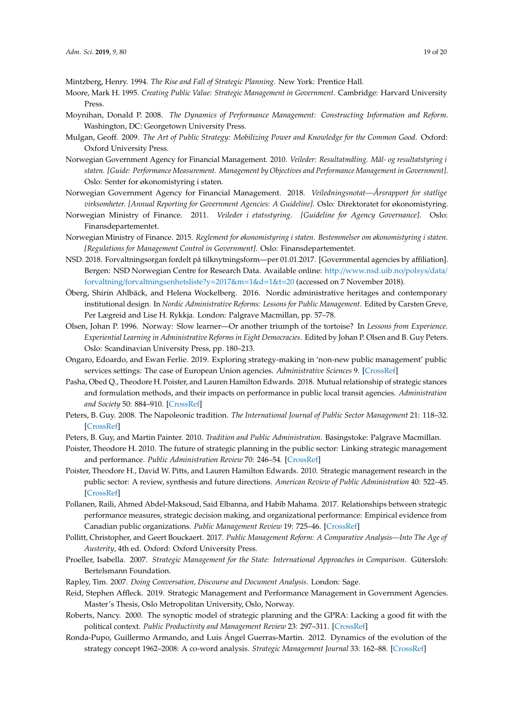<span id="page-18-13"></span>Mintzberg, Henry. 1994. *The Rise and Fall of Strategic Planning*. New York: Prentice Hall.

- <span id="page-18-4"></span>Moore, Mark H. 1995. *Creating Public Value: Strategic Management in Government*. Cambridge: Harvard University Press.
- <span id="page-18-6"></span>Moynihan, Donald P. 2008. *The Dynamics of Performance Management: Constructing Information and Reform*. Washington, DC: Georgetown University Press.
- <span id="page-18-5"></span>Mulgan, Geoff. 2009. *The Art of Public Strategy: Mobilizing Power and Knowledge for the Common Good*. Oxford: Oxford University Press.
- <span id="page-18-22"></span>Norwegian Government Agency for Financial Management. 2010. *Veileder: Resultatmåling. Mål- og resultatstyring i staten. [Guide: Performance Measurement. Management by Objectives and Performance Management in Government]*. Oslo: Senter for økonomistyring i staten.
- <span id="page-18-20"></span>Norwegian Government Agency for Financial Management. 2018. *Veiledningsnotat—Årsrapport for statlige virksomheter. [Annual Reporting for Government Agencies: A Guideline]*. Oslo: Direktoratet for økonomistyring.
- <span id="page-18-19"></span>Norwegian Ministry of Finance. 2011. *Veileder i etatsstyring. [Guideline for Agency Governance]*. Oslo: Finansdepartementet.
- <span id="page-18-21"></span>Norwegian Ministry of Finance. 2015. *Reglement for økonomistyring i staten. Bestemmelser om økonomistyring i staten. [Regulations for Management Control in Government]*. Oslo: Finansdepartementet.
- <span id="page-18-18"></span>NSD. 2018. Forvaltningsorgan fordelt på tilknytningsform—per 01.01.2017. [Governmental agencies by affiliation]. Bergen: NSD Norwegian Centre for Research Data. Available online: http://[www.nsd.uib.no](http://www.nsd.uib.no/polsys/data/forvaltning/forvaltningsenhetsliste?y=2017&m=1&d=1&t=20)/polsys/data/ forvaltning/[forvaltningsenhetsliste?y](http://www.nsd.uib.no/polsys/data/forvaltning/forvaltningsenhetsliste?y=2017&m=1&d=1&t=20)=2017&m=1&d=1&t=20 (accessed on 7 November 2018).
- <span id="page-18-2"></span>Öberg, Shirin Ahlbäck, and Helena Wockelberg. 2016. Nordic administrative heritages and contemporary institutional design. In *Nordic Administrative Reforms: Lessons for Public Management*. Edited by Carsten Greve, Per Lægreid and Lise H. Rykkja. London: Palgrave Macmillan, pp. 57–78.
- <span id="page-18-15"></span>Olsen, Johan P. 1996. Norway: Slow learner—Or another triumph of the tortoise? In *Lessons from Experience. Experiential Learning in Administrative Reforms in Eight Democracies*. Edited by Johan P. Olsen and B. Guy Peters. Oslo: Scandinavian University Press, pp. 180–213.
- <span id="page-18-11"></span>Ongaro, Edoardo, and Ewan Ferlie. 2019. Exploring strategy-making in 'non-new public management' public services settings: The case of European Union agencies. *Administrative Sciences* 9. [\[CrossRef\]](http://dx.doi.org/10.3390/admsci9010023)
- <span id="page-18-12"></span>Pasha, Obed Q., Theodore H. Poister, and Lauren Hamilton Edwards. 2018. Mutual relationship of strategic stances and formulation methods, and their impacts on performance in public local transit agencies. *Administration and Society* 50: 884–910. [\[CrossRef\]](http://dx.doi.org/10.1177/0095399715587524)
- <span id="page-18-8"></span>Peters, B. Guy. 2008. The Napoleonic tradition. *The International Journal of Public Sector Management* 21: 118–32. [\[CrossRef\]](http://dx.doi.org/10.1108/09513550810855627)
- <span id="page-18-23"></span>Peters, B. Guy, and Martin Painter. 2010. *Tradition and Public Administration*. Basingstoke: Palgrave Macmillan.
- <span id="page-18-0"></span>Poister, Theodore H. 2010. The future of strategic planning in the public sector: Linking strategic management and performance. *Public Administration Review* 70: 246–54. [\[CrossRef\]](http://dx.doi.org/10.1111/j.1540-6210.2010.02284.x)
- <span id="page-18-14"></span>Poister, Theodore H., David W. Pitts, and Lauren Hamilton Edwards. 2010. Strategic management research in the public sector: A review, synthesis and future directions. *American Review of Public Administration* 40: 522–45. [\[CrossRef\]](http://dx.doi.org/10.1177/0275074010370617)
- <span id="page-18-7"></span>Pollanen, Raili, Ahmed Abdel-Maksoud, Said Elbanna, and Habib Mahama. 2017. Relationships between strategic performance measures, strategic decision making, and organizational performance: Empirical evidence from Canadian public organizations. *Public Management Review* 19: 725–46. [\[CrossRef\]](http://dx.doi.org/10.1080/14719037.2016.1203013)
- <span id="page-18-1"></span>Pollitt, Christopher, and Geert Bouckaert. 2017. *Public Management Reform: A Comparative Analysis—Into The Age of Austerity*, 4th ed. Oxford: Oxford University Press.
- <span id="page-18-10"></span>Proeller, Isabella. 2007. *Strategic Management for the State: International Approaches in Comparison*. Gütersloh: Bertelsmann Foundation.
- <span id="page-18-16"></span>Rapley, Tim. 2007. *Doing Conversation, Discourse and Document Analysis*. London: Sage.
- <span id="page-18-17"></span>Reid, Stephen Affleck. 2019. Strategic Management and Performance Management in Government Agencies. Master's Thesis, Oslo Metropolitan University, Oslo, Norway.
- <span id="page-18-9"></span>Roberts, Nancy. 2000. The synoptic model of strategic planning and the GPRA: Lacking a good fit with the political context. *Public Productivity and Management Review* 23: 297–311. [\[CrossRef\]](http://dx.doi.org/10.2307/3380721)
- <span id="page-18-3"></span>Ronda-Pupo, Guillermo Armando, and Luis Ángel Guerras-Martin. 2012. Dynamics of the evolution of the strategy concept 1962–2008: A co-word analysis. *Strategic Management Journal* 33: 162–88. [\[CrossRef\]](http://dx.doi.org/10.1002/smj.948)